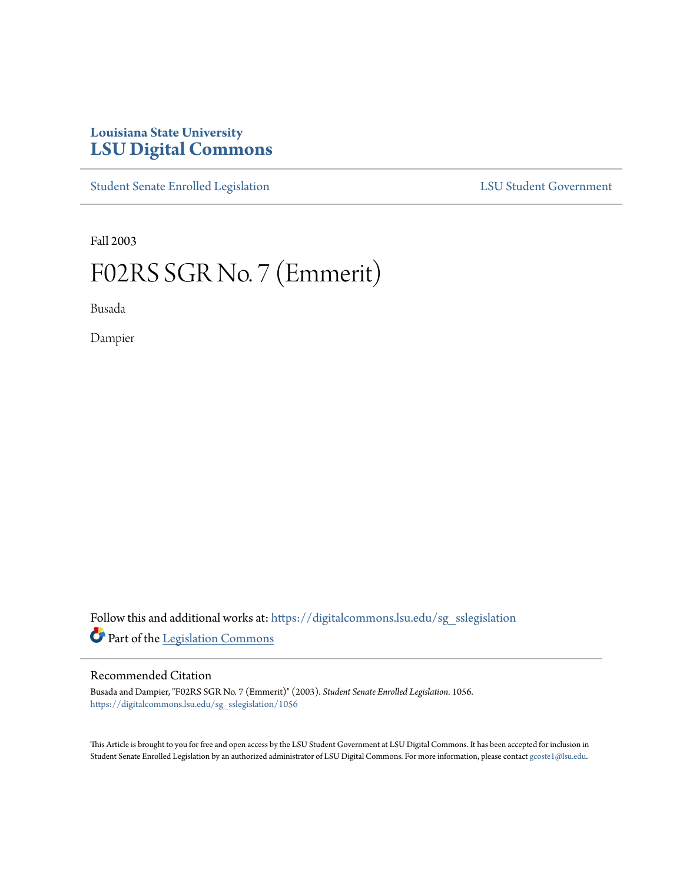# **Louisiana State University [LSU Digital Commons](https://digitalcommons.lsu.edu?utm_source=digitalcommons.lsu.edu%2Fsg_sslegislation%2F1056&utm_medium=PDF&utm_campaign=PDFCoverPages)**

[Student Senate Enrolled Legislation](https://digitalcommons.lsu.edu/sg_sslegislation?utm_source=digitalcommons.lsu.edu%2Fsg_sslegislation%2F1056&utm_medium=PDF&utm_campaign=PDFCoverPages) [LSU Student Government](https://digitalcommons.lsu.edu/sg?utm_source=digitalcommons.lsu.edu%2Fsg_sslegislation%2F1056&utm_medium=PDF&utm_campaign=PDFCoverPages)

Fall 2003

# F02RS SGR No. 7 (Emmerit)

Busada

Dampier

Follow this and additional works at: [https://digitalcommons.lsu.edu/sg\\_sslegislation](https://digitalcommons.lsu.edu/sg_sslegislation?utm_source=digitalcommons.lsu.edu%2Fsg_sslegislation%2F1056&utm_medium=PDF&utm_campaign=PDFCoverPages) Part of the [Legislation Commons](http://network.bepress.com/hgg/discipline/859?utm_source=digitalcommons.lsu.edu%2Fsg_sslegislation%2F1056&utm_medium=PDF&utm_campaign=PDFCoverPages)

### Recommended Citation

Busada and Dampier, "F02RS SGR No. 7 (Emmerit)" (2003). *Student Senate Enrolled Legislation*. 1056. [https://digitalcommons.lsu.edu/sg\\_sslegislation/1056](https://digitalcommons.lsu.edu/sg_sslegislation/1056?utm_source=digitalcommons.lsu.edu%2Fsg_sslegislation%2F1056&utm_medium=PDF&utm_campaign=PDFCoverPages)

This Article is brought to you for free and open access by the LSU Student Government at LSU Digital Commons. It has been accepted for inclusion in Student Senate Enrolled Legislation by an authorized administrator of LSU Digital Commons. For more information, please contact [gcoste1@lsu.edu.](mailto:gcoste1@lsu.edu)